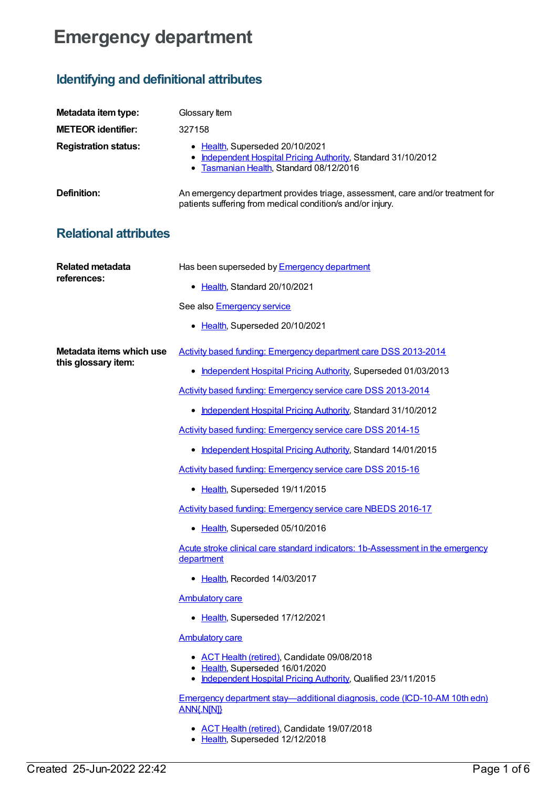## **Emergency department**

## **Identifying and definitional attributes**

| Metadata item type:                             | Glossary Item                                                                                                                                     |
|-------------------------------------------------|---------------------------------------------------------------------------------------------------------------------------------------------------|
| <b>METEOR identifier:</b>                       | 327158                                                                                                                                            |
| <b>Registration status:</b>                     | • Health, Superseded 20/10/2021<br>• Independent Hospital Pricing Authority, Standard 31/10/2012<br>Tasmanian Health, Standard 08/12/2016<br>٠    |
| <b>Definition:</b>                              | An emergency department provides triage, assessment, care and/or treatment for<br>patients suffering from medical condition/s and/or injury.      |
| <b>Relational attributes</b>                    |                                                                                                                                                   |
| <b>Related metadata</b><br>references:          | Has been superseded by <b>Emergency department</b>                                                                                                |
|                                                 | • Health, Standard 20/10/2021                                                                                                                     |
|                                                 | See also <b>Emergency service</b>                                                                                                                 |
|                                                 | • Health, Superseded 20/10/2021                                                                                                                   |
| Metadata items which use<br>this glossary item: | Activity based funding: Emergency department care DSS 2013-2014                                                                                   |
|                                                 | • Independent Hospital Pricing Authority, Superseded 01/03/2013                                                                                   |
|                                                 | Activity based funding: Emergency service care DSS 2013-2014                                                                                      |
|                                                 | • Independent Hospital Pricing Authority, Standard 31/10/2012                                                                                     |
|                                                 | Activity based funding: Emergency service care DSS 2014-15                                                                                        |
|                                                 | • Independent Hospital Pricing Authority, Standard 14/01/2015                                                                                     |
|                                                 | Activity based funding: Emergency service care DSS 2015-16                                                                                        |
|                                                 | • Health, Superseded 19/11/2015                                                                                                                   |
|                                                 | <b>Activity based funding: Emergency service care NBEDS 2016-17</b>                                                                               |
|                                                 | • Health, Superseded 05/10/2016                                                                                                                   |
|                                                 | Acute stroke clinical care standard indicators: 1b-Assessment in the emergency<br>department                                                      |
|                                                 | • Health, Recorded 14/03/2017                                                                                                                     |
|                                                 | <b>Ambulatory care</b>                                                                                                                            |
|                                                 | • Health, Superseded 17/12/2021                                                                                                                   |
|                                                 | <b>Ambulatory care</b>                                                                                                                            |
|                                                 | • ACT Health (retired), Candidate 09/08/2018<br>• Health, Superseded 16/01/2020<br>• Independent Hospital Pricing Authority, Qualified 23/11/2015 |
|                                                 | Emergency department stay-additional diagnosis, code (ICD-10-AM 10th edn)<br>ANN{.N[N]}                                                           |
|                                                 | • ACT Health (retired), Candidate 19/07/2018                                                                                                      |

• [Health](https://meteor.aihw.gov.au/RegistrationAuthority/12), Superseded 12/12/2018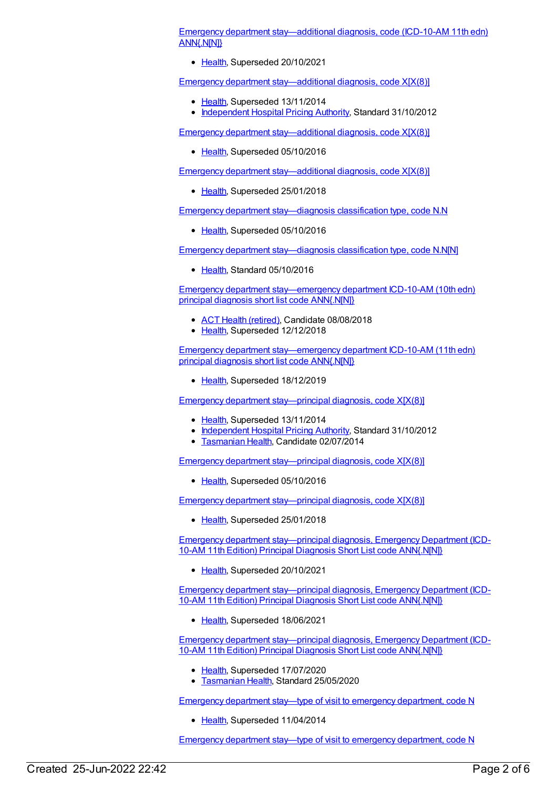Emergency department [stay—additional](https://meteor.aihw.gov.au/content/699588) diagnosis, code (ICD-10-AM 11th edn) ANN{.N[N]}

• [Health](https://meteor.aihw.gov.au/RegistrationAuthority/12), Superseded 20/10/2021

Emergency department [stay—additional](https://meteor.aihw.gov.au/content/497488) diagnosis, code X[X(8)]

- [Health](https://meteor.aihw.gov.au/RegistrationAuthority/12), Superseded 13/11/2014
- [Independent](https://meteor.aihw.gov.au/RegistrationAuthority/3) Hospital Pricing Authority, Standard 31/10/2012

Emergency department [stay—additional](https://meteor.aihw.gov.au/content/590658) diagnosis, code X[X(8)]

• [Health](https://meteor.aihw.gov.au/RegistrationAuthority/12), Superseded 05/10/2016

Emergency department [stay—additional](https://meteor.aihw.gov.au/content/651858) diagnosis, code X[X(8)]

• [Health](https://meteor.aihw.gov.au/RegistrationAuthority/12), Superseded 25/01/2018

Emergency department [stay—diagnosis](https://meteor.aihw.gov.au/content/590662) classification type, code N.N

• [Health](https://meteor.aihw.gov.au/RegistrationAuthority/12), Superseded 05/10/2016

Emergency department [stay—diagnosis](https://meteor.aihw.gov.au/content/651975) classification type, code N.N[N]

• [Health](https://meteor.aihw.gov.au/RegistrationAuthority/12), Standard 05/10/2016

Emergency department [stay—emergency](https://meteor.aihw.gov.au/content/681646) department ICD-10-AM (10th edn) principal diagnosis short list code ANN{.N[N]}

- ACT Health [\(retired\)](https://meteor.aihw.gov.au/RegistrationAuthority/9), Candidate 08/08/2018
- [Health](https://meteor.aihw.gov.au/RegistrationAuthority/12), Superseded 12/12/2018

Emergency department [stay—emergency](https://meteor.aihw.gov.au/content/699598) department ICD-10-AM (11th edn) principal diagnosis short list code ANN{.N[N]}

• [Health](https://meteor.aihw.gov.au/RegistrationAuthority/12), Superseded 18/12/2019

Emergency department [stay—principal](https://meteor.aihw.gov.au/content/497490) diagnosis, code X[X(8)]

- [Health](https://meteor.aihw.gov.au/RegistrationAuthority/12), Superseded 13/11/2014
- [Independent](https://meteor.aihw.gov.au/RegistrationAuthority/3) Hospital Pricing Authority, Standard 31/10/2012
- **[Tasmanian](https://meteor.aihw.gov.au/RegistrationAuthority/15) Health, Candidate 02/07/2014**

Emergency department [stay—principal](https://meteor.aihw.gov.au/content/590664) diagnosis, code X[X(8)]

[Health](https://meteor.aihw.gov.au/RegistrationAuthority/12), Superseded 05/10/2016

Emergency department [stay—principal](https://meteor.aihw.gov.au/content/651874) diagnosis, code X[X(8)]

• [Health](https://meteor.aihw.gov.au/RegistrationAuthority/12), Superseded 25/01/2018

Emergency department [stay—principal](https://meteor.aihw.gov.au/content/742221) diagnosis, Emergency Department (ICD-10-AM 11th Edition) Principal Diagnosis Short List code ANN{.N[N]}

• [Health](https://meteor.aihw.gov.au/RegistrationAuthority/12), Superseded 20/10/2021

Emergency department [stay—principal](https://meteor.aihw.gov.au/content/728005) diagnosis, Emergency Department (ICD-10-AM 11th Edition) Principal Diagnosis Short List code ANN{.N[N]}

[Health](https://meteor.aihw.gov.au/RegistrationAuthority/12), Superseded 18/06/2021

Emergency department [stay—principal](https://meteor.aihw.gov.au/content/717948) diagnosis, Emergency Department (ICD-10-AM 11th Edition) Principal Diagnosis Short List code ANN{.N[N]}

- [Health](https://meteor.aihw.gov.au/RegistrationAuthority/12), Superseded 17/07/2020
- [Tasmanian](https://meteor.aihw.gov.au/RegistrationAuthority/15) Health, Standard 25/05/2020

Emergency department stay—type of visit to emergency [department,](https://meteor.aihw.gov.au/content/495958) code N

• [Health](https://meteor.aihw.gov.au/RegistrationAuthority/12), Superseded 11/04/2014

Emergency department stay—type of visit to emergency [department,](https://meteor.aihw.gov.au/content/550725) code N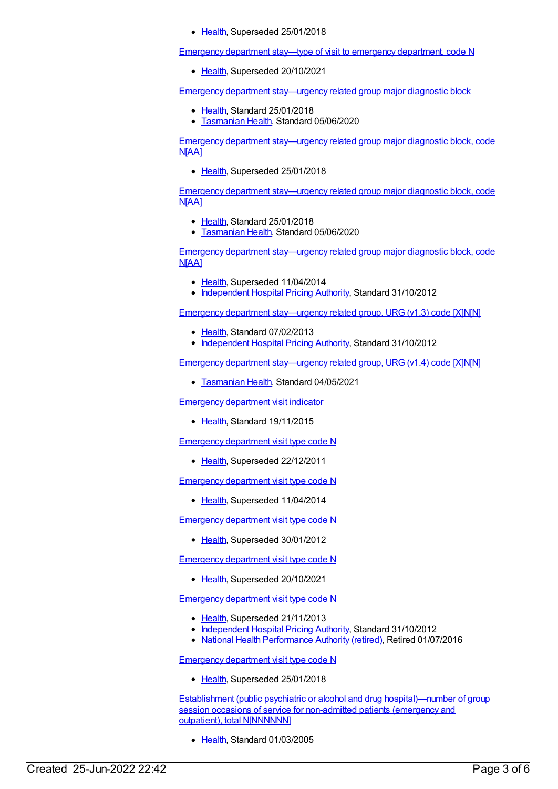• [Health](https://meteor.aihw.gov.au/RegistrationAuthority/12), Superseded 25/01/2018

Emergency department stay—type of visit to emergency [department,](https://meteor.aihw.gov.au/content/684942) code N

• [Health](https://meteor.aihw.gov.au/RegistrationAuthority/12), Superseded 20/10/2021

Emergency department [stay—urgency](https://meteor.aihw.gov.au/content/684505) related group major diagnostic block

- [Health](https://meteor.aihw.gov.au/RegistrationAuthority/12), Standard 25/01/2018
- [Tasmanian](https://meteor.aihw.gov.au/RegistrationAuthority/15) Health, Standard 05/06/2020

Emergency department [stay—urgency](https://meteor.aihw.gov.au/content/547612) related group major diagnostic block, code N[AA]

• [Health](https://meteor.aihw.gov.au/RegistrationAuthority/12), Superseded 25/01/2018

Emergency department [stay—urgency](https://meteor.aihw.gov.au/content/684509) related group major diagnostic block, code N[AA]

- [Health](https://meteor.aihw.gov.au/RegistrationAuthority/12), Standard 25/01/2018
- **[Tasmanian](https://meteor.aihw.gov.au/RegistrationAuthority/15) Health, Standard 05/06/2020**

Emergency department [stay—urgency](https://meteor.aihw.gov.au/content/449585) related group major diagnostic block, code N[AA]

- [Health](https://meteor.aihw.gov.au/RegistrationAuthority/12), Superseded 11/04/2014
- [Independent](https://meteor.aihw.gov.au/RegistrationAuthority/3) Hospital Pricing Authority, Standard 31/10/2012

Emergency department [stay—urgency](https://meteor.aihw.gov.au/content/498030) related group, URG (v1.3) code [X]N[N]

- [Health](https://meteor.aihw.gov.au/RegistrationAuthority/12), Standard 07/02/2013
- [Independent](https://meteor.aihw.gov.au/RegistrationAuthority/3) Hospital Pricing Authority, Standard 31/10/2012

Emergency department [stay—urgency](https://meteor.aihw.gov.au/content/743564) related group, URG (v1.4) code [X]N[N]

• [Tasmanian](https://meteor.aihw.gov.au/RegistrationAuthority/15) Health, Standard 04/05/2021

[Emergency](https://meteor.aihw.gov.au/content/483519) department visit indicator

• [Health](https://meteor.aihw.gov.au/RegistrationAuthority/12), Standard 19/11/2015

[Emergency](https://meteor.aihw.gov.au/content/270868) department visit type code N

[Health](https://meteor.aihw.gov.au/RegistrationAuthority/12), Superseded 22/12/2011

[Emergency](https://meteor.aihw.gov.au/content/496012) department visit type code N

• [Health](https://meteor.aihw.gov.au/RegistrationAuthority/12), Superseded 11/04/2014

[Emergency](https://meteor.aihw.gov.au/content/472920) department visit type code N

• [Health](https://meteor.aihw.gov.au/RegistrationAuthority/12), Superseded 30/01/2012

[Emergency](https://meteor.aihw.gov.au/content/684939) department visit type code N

• [Health](https://meteor.aihw.gov.au/RegistrationAuthority/12), Superseded 20/10/2021

[Emergency](https://meteor.aihw.gov.au/content/474111) department visit type code N

- [Health](https://meteor.aihw.gov.au/RegistrationAuthority/12), Superseded 21/11/2013
- [Independent](https://meteor.aihw.gov.au/RegistrationAuthority/3) Hospital Pricing Authority, Standard 31/10/2012
- National Health [Performance](https://meteor.aihw.gov.au/RegistrationAuthority/8) Authority (retired), Retired 01/07/2016

[Emergency](https://meteor.aihw.gov.au/content/550706) department visit type code N

• [Health](https://meteor.aihw.gov.au/RegistrationAuthority/12), Superseded 25/01/2018

Establishment (public psychiatric or alcohol and drug [hospital\)—number](https://meteor.aihw.gov.au/content/270217) of group session occasions of service for non-admitted patients (emergency and outpatient), total N[NNNNNN]

• [Health](https://meteor.aihw.gov.au/RegistrationAuthority/12), Standard 01/03/2005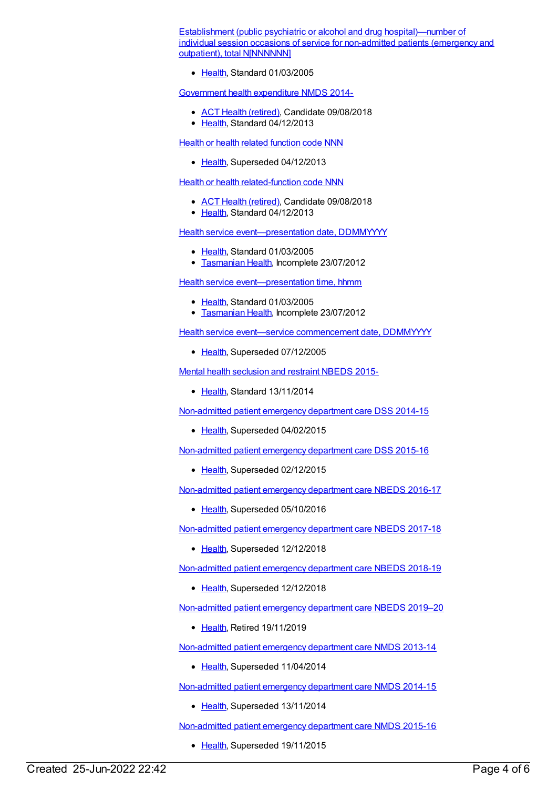Establishment (public psychiatric or alcohol and drug [hospital\)—number](https://meteor.aihw.gov.au/content/270216) of individual session occasions of service for non-admitted patients (emergency and outpatient), total NINNNNNNI

Elealth, Standard 01/03/2005

[Government](https://meteor.aihw.gov.au/content/540601) health expenditure NMDS 2014-

- ACT Health [\(retired\)](https://meteor.aihw.gov.au/RegistrationAuthority/9), Candidate 09/08/2018
- [Health](https://meteor.aihw.gov.au/RegistrationAuthority/12), Standard 04/12/2013

Health or health related [function](https://meteor.aihw.gov.au/content/352162) code NNN

[Health](https://meteor.aihw.gov.au/RegistrationAuthority/12), Superseded 04/12/2013

**Health or health [related-function](https://meteor.aihw.gov.au/content/533043) code NNN** 

- ACT Health [\(retired\)](https://meteor.aihw.gov.au/RegistrationAuthority/9), Candidate 09/08/2018
- [Health](https://meteor.aihw.gov.au/RegistrationAuthority/12), Standard 04/12/2013

Health service [event—presentation](https://meteor.aihw.gov.au/content/270393) date, DDMMYYYY

- [Health](https://meteor.aihw.gov.au/RegistrationAuthority/12), Standard 01/03/2005
- **[Tasmanian](https://meteor.aihw.gov.au/RegistrationAuthority/15) Health, Incomplete 23/07/2012**

Health service [event—presentation](https://meteor.aihw.gov.au/content/270080) time, hhmm

- [Health](https://meteor.aihw.gov.au/RegistrationAuthority/12), Standard 01/03/2005
- **[Tasmanian](https://meteor.aihw.gov.au/RegistrationAuthority/15) Health, Incomplete 23/07/2012**

Health service event—service [commencement](https://meteor.aihw.gov.au/content/270089) date, DDMMYYYY

• [Health](https://meteor.aihw.gov.au/RegistrationAuthority/12), Superseded 07/12/2005

Mental health [seclusion](https://meteor.aihw.gov.au/content/558137) and restraint NBEDS 2015-

• [Health](https://meteor.aihw.gov.au/RegistrationAuthority/12), Standard 13/11/2014

[Non-admitted](https://meteor.aihw.gov.au/content/567462) patient emergency department care DSS 2014-15

• [Health](https://meteor.aihw.gov.au/RegistrationAuthority/12), Superseded 04/02/2015

[Non-admitted](https://meteor.aihw.gov.au/content/590675) patient emergency department care DSS 2015-16

• [Health](https://meteor.aihw.gov.au/RegistrationAuthority/12), Superseded 02/12/2015

[Non-admitted](https://meteor.aihw.gov.au/content/617933) patient emergency department care NBEDS 2016-17

• [Health](https://meteor.aihw.gov.au/RegistrationAuthority/12), Superseded 05/10/2016

[Non-admitted](https://meteor.aihw.gov.au/content/655704) patient emergency department care NBEDS 2017-18

• [Health](https://meteor.aihw.gov.au/RegistrationAuthority/12), Superseded 12/12/2018

[Non-admitted](https://meteor.aihw.gov.au/content/676384) patient emergency department care NBEDS 2018-19

• [Health](https://meteor.aihw.gov.au/RegistrationAuthority/12), Superseded 12/12/2018

[Non-admitted](https://meteor.aihw.gov.au/content/708556) patient emergency department care NBEDS 2019–20

• [Health](https://meteor.aihw.gov.au/RegistrationAuthority/12), Retired 19/11/2019

[Non-admitted](https://meteor.aihw.gov.au/content/509116) patient emergency department care NMDS 2013-14

• [Health](https://meteor.aihw.gov.au/RegistrationAuthority/12), Superseded 11/04/2014

[Non-admitted](https://meteor.aihw.gov.au/content/566909) patient emergency department care NMDS 2014-15

• [Health](https://meteor.aihw.gov.au/RegistrationAuthority/12), Superseded 13/11/2014

[Non-admitted](https://meteor.aihw.gov.au/content/588932) patient emergency department care NMDS 2015-16

• [Health](https://meteor.aihw.gov.au/RegistrationAuthority/12), Superseded 19/11/2015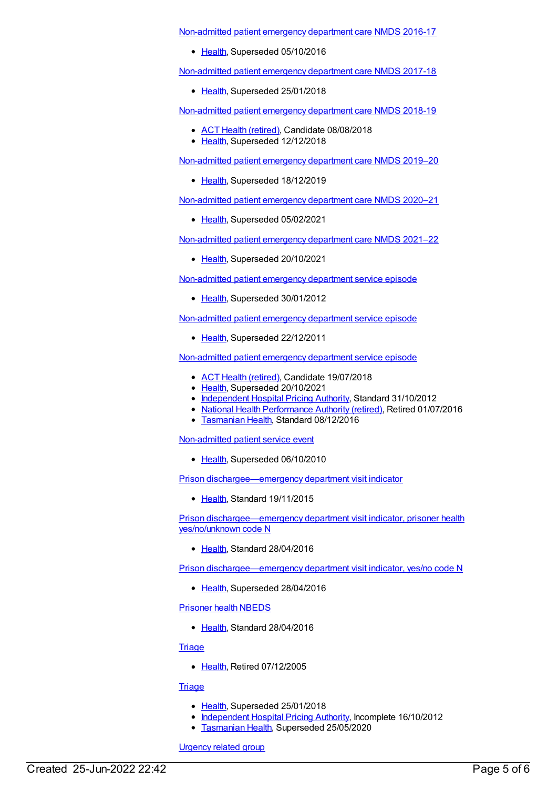[Non-admitted](https://meteor.aihw.gov.au/content/612346) patient emergency department care NMDS 2016-17

• [Health](https://meteor.aihw.gov.au/RegistrationAuthority/12), Superseded 05/10/2016

[Non-admitted](https://meteor.aihw.gov.au/content/651856) patient emergency department care NMDS 2017-18

• [Health](https://meteor.aihw.gov.au/RegistrationAuthority/12), Superseded 25/01/2018

[Non-admitted](https://meteor.aihw.gov.au/content/679018) patient emergency department care NMDS 2018-19

- ACT Health [\(retired\)](https://meteor.aihw.gov.au/RegistrationAuthority/9), Candidate 08/08/2018
- [Health](https://meteor.aihw.gov.au/RegistrationAuthority/12), Superseded 12/12/2018

[Non-admitted](https://meteor.aihw.gov.au/content/699738) patient emergency department care NMDS 2019–20

• [Health](https://meteor.aihw.gov.au/RegistrationAuthority/12), Superseded 18/12/2019

[Non-admitted](https://meteor.aihw.gov.au/content/713860) patient emergency department care NMDS 2020–21

• [Health](https://meteor.aihw.gov.au/RegistrationAuthority/12), Superseded 05/02/2021

[Non-admitted](https://meteor.aihw.gov.au/content/727360) patient emergency department care NMDS 2021–22

• [Health](https://meteor.aihw.gov.au/RegistrationAuthority/12), Superseded 20/10/2021

[Non-admitted](https://meteor.aihw.gov.au/content/473100) patient emergency department service episode

• [Health](https://meteor.aihw.gov.au/RegistrationAuthority/12), Superseded 30/01/2012

[Non-admitted](https://meteor.aihw.gov.au/content/268976) patient emergency department service episode

• [Health](https://meteor.aihw.gov.au/RegistrationAuthority/12), Superseded 22/12/2011

[Non-admitted](https://meteor.aihw.gov.au/content/474114) patient emergency department service episode

- ACT Health [\(retired\)](https://meteor.aihw.gov.au/RegistrationAuthority/9), Candidate 19/07/2018
- [Health](https://meteor.aihw.gov.au/RegistrationAuthority/12), Superseded 20/10/2021
- [Independent](https://meteor.aihw.gov.au/RegistrationAuthority/3) Hospital Pricing Authority, Standard 31/10/2012
- National Health [Performance](https://meteor.aihw.gov.au/RegistrationAuthority/8) Authority (retired), Retired 01/07/2016
- **[Tasmanian](https://meteor.aihw.gov.au/RegistrationAuthority/15) Health, Standard 08/12/2016**

[Non-admitted](https://meteor.aihw.gov.au/content/268972) patient service event

• [Health](https://meteor.aihw.gov.au/RegistrationAuthority/12), Superseded 06/10/2010

Prison [dischargee—emergency](https://meteor.aihw.gov.au/content/483526) department visit indicator

• [Health](https://meteor.aihw.gov.au/RegistrationAuthority/12), Standard 19/11/2015

Prison [dischargee—emergency](https://meteor.aihw.gov.au/content/629233) department visit indicator, prisoner health yes/no/unknown code N

• [Health](https://meteor.aihw.gov.au/RegistrationAuthority/12), Standard 28/04/2016

Prison [dischargee—emergency](https://meteor.aihw.gov.au/content/483531) department visit indicator, yes/no code N

• [Health](https://meteor.aihw.gov.au/RegistrationAuthority/12), Superseded 28/04/2016

[Prisoner](https://meteor.aihw.gov.au/content/482311) health NBEDS

• [Health](https://meteor.aihw.gov.au/RegistrationAuthority/12), Standard 28/04/2016

**[Triage](https://meteor.aihw.gov.au/content/268975)** 

• [Health](https://meteor.aihw.gov.au/RegistrationAuthority/12), Retired 07/12/2005

## **[Triage](https://meteor.aihw.gov.au/content/334003)**

- [Health](https://meteor.aihw.gov.au/RegistrationAuthority/12), Superseded 25/01/2018
- [Independent](https://meteor.aihw.gov.au/RegistrationAuthority/3) Hospital Pricing Authority, Incomplete 16/10/2012
- **[Tasmanian](https://meteor.aihw.gov.au/RegistrationAuthority/15) Health, Superseded 25/05/2020**

[Urgency](https://meteor.aihw.gov.au/content/447797) related group